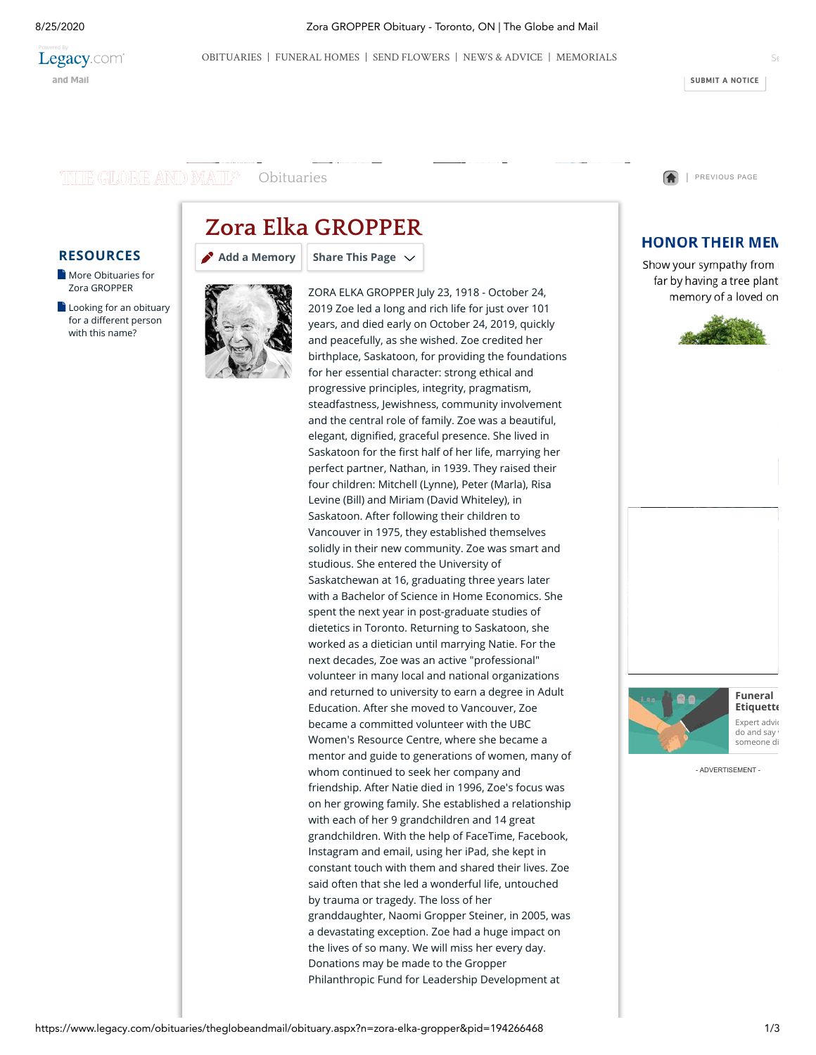

8/25/2020 Zora GROPPER Obituary - Toronto, ON | The Globe and Mail

**[SUBMIT](https://www.theglobeandmail.com/about/contact/submit-a-birth-and-death-notice/) A NOTICE**

## THE GLOBE AND MAIL<sup>S</sup>

# **Zora Elka GROPPER**

**Share This Page**

### **RESOURCES**

- **[More Obituaries for](https://www.legacy.com/obituaries/name/zora-gropper-obituary?pid=194266468&affiliateid=4101)** Zora GROPPER
- $\Box$  [Looking for an obituary](https://www.legacy.com/obituaries/name/by/gropper/zora) for a different person with this name?



**[Add a Memory](https://www.legacy.com/guestbooks/theglobeandmail/zora-elka-gropper-condolences/194266468?cid=full)**

ZORA ELKA GROPPER July 23, 1918 - October 24, 2019 Zoe led a long and rich life for just over 101 years, and died early on October 24, 2019, quickly and peacefully, as she wished. Zoe credited her birthplace, Saskatoon, for providing the foundations for her essential character: strong ethical and progressive principles, integrity, pragmatism, steadfastness, Jewishness, community involvement and the central role of family. Zoe was a beautiful, elegant, dignified, graceful presence. She lived in Saskatoon for the first half of her life, marrying her perfect partner, Nathan, in 1939. They raised their four children: Mitchell (Lynne), Peter (Marla), Risa Levine (Bill) and Miriam (David Whiteley), in Saskatoon. After following their children to Vancouver in 1975, they established themselves solidly in their new community. Zoe was smart and studious. She entered the University of Saskatchewan at 16, graduating three years later with a Bachelor of Science in Home Economics. She spent the next year in post-graduate studies of dietetics in Toronto. Returning to Saskatoon, she worked as a dietician until marrying Natie. For the next decades, Zoe was an active "professional" volunteer in many local and national organizations and returned to university to earn a degree in Adult Education. After she moved to Vancouver, Zoe became a committed volunteer with the UBC Women's Resource Centre, where she became a mentor and guide to generations of women, many of whom continued to seek her company and friendship. After Natie died in 1996, Zoe's focus was on her growing family. She established a relationship with each of her 9 grandchildren and 14 great grandchildren. With the help of FaceTime, Facebook, Instagram and email, using her iPad, she kept in constant touch with them and shared their lives. Zoe said often that she led a wonderful life, untouched by trauma or tragedy. The loss of her granddaughter, Naomi Gropper Steiner, in 2005, was a devastating exception. Zoe had a huge impact on the lives of so many. We will miss her every day. Donations may be made to the Gropper Philanthropic Fund for Leadership Development at

[Obituaries](https://www.legacy.com/obituaries/theglobeandmail/) **1999 Contract [PREVIOUS](https://www.legacy.com/obituaries/name/zora-gropper-obituary?pid=194266468) PAGE 1** PREVIOUS PAGE

# **HONOR THEIR MEN**

Show your sympathy from I far by having a tree plant memory of a loved on





**Funeral [Etiquette](http://www.legacy.com/news/advice-and-support/article/funeral-etiquette)** Expert advic do and sav someone di

- ADVERTISEMENT -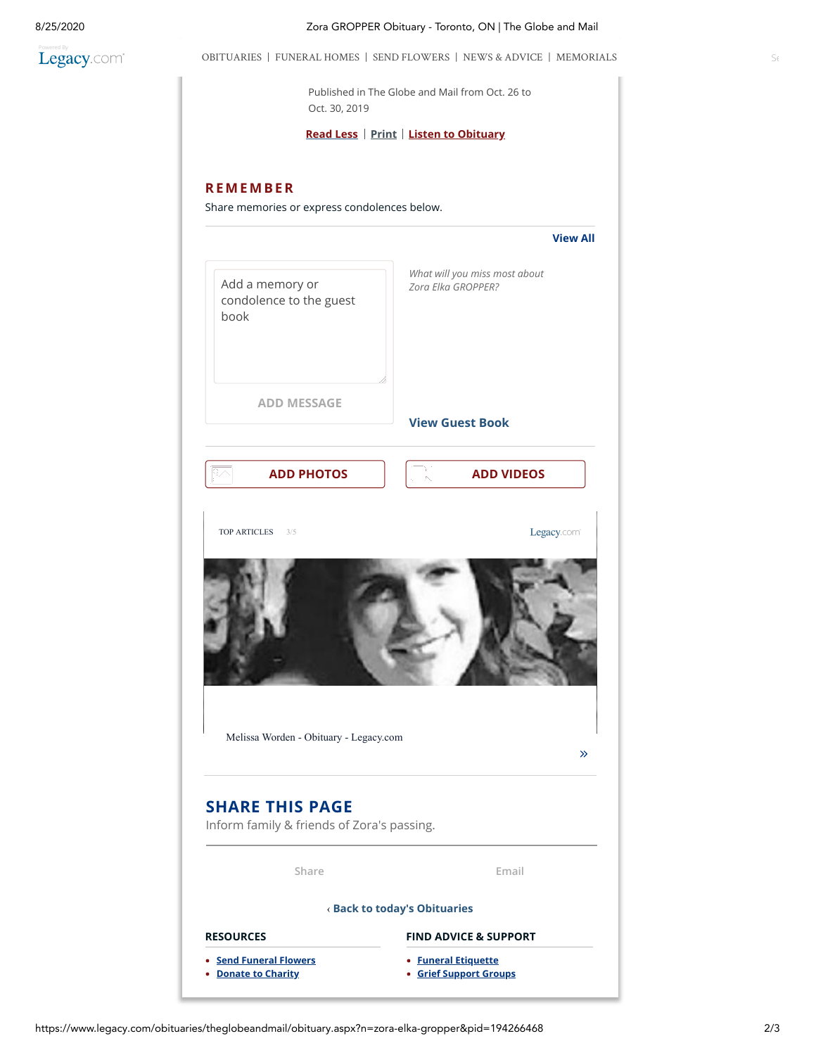